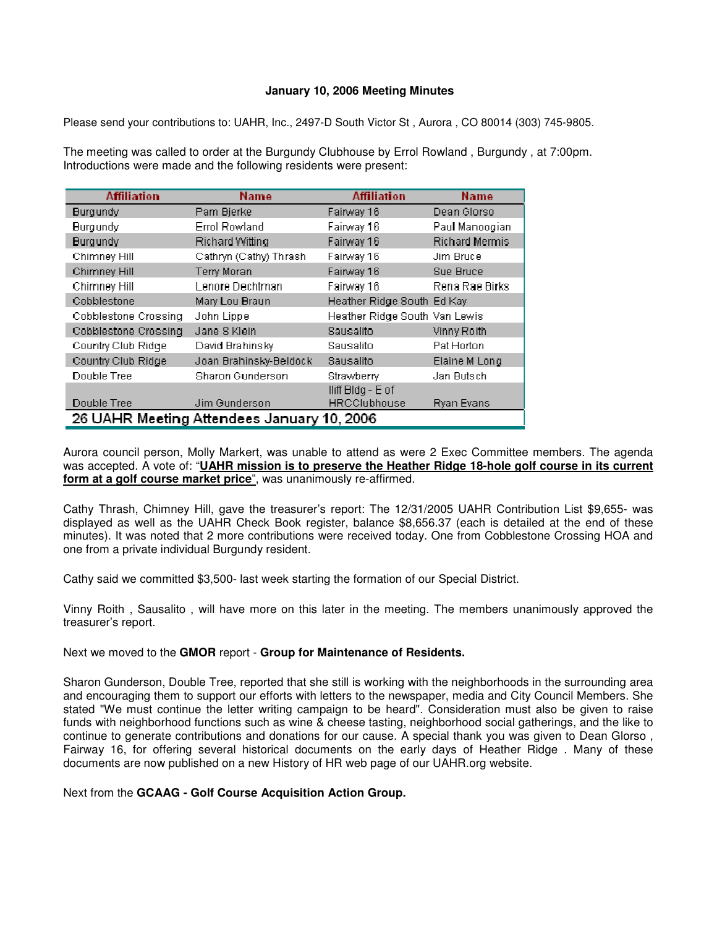## **January 10, 2006 Meeting Minutes**

Please send your contributions to: UAHR, Inc., 2497-D South Victor St , Aurora , CO 80014 (303) 745-9805.

The meeting was called to order at the Burgundy Clubhouse by Errol Rowland , Burgundy , at 7:00pm. Introductions were made and the following residents were present:

| <b>Affiliation</b>                         | <b>Name</b>             | <b>Affiliation</b>            | <b>Name</b>           |  |
|--------------------------------------------|-------------------------|-------------------------------|-----------------------|--|
| <b>Burgundy</b>                            | Pam Bjerke              | Fairway 16                    | Dean Glorso           |  |
| <b>Burgundy</b>                            | Errol Rowland           | Fairway 16                    | Paul Manoogian        |  |
| <b>Burgundy</b>                            | <b>Richard Witting</b>  | Fairway 16                    | <b>Richard Mermis</b> |  |
| Chimney Hill                               | Cathryn (Cathy) Thrash  | Fairway 16                    | Jim Bruce             |  |
| Chimney Hill                               | <b>Terry Moran</b>      | Fairway 16                    | Sue Bruce             |  |
| Chimney Hill                               | Lenore Dechtman         | Fairway 16                    | Rena Rae Birks        |  |
| Cobblestone                                | Mary Lou Braun          | Heather Ridge South Ed Kay    |                       |  |
| Cobblestone Crossing                       | John Lippe              | Heather Ridge South Van Lewis |                       |  |
| Cobblestone Crossing                       | Jane S Klein            | Sausalito                     | Vinny Roith           |  |
| Country Club Ridge                         | David Brahinsky         | Sausalito                     | Pat Horton            |  |
| Country Club Ridge                         | Joan Brahinsky-Beldock  | Sausalito                     | Elaine M Long         |  |
| Double Tree                                | <b>Sharon Gunderson</b> | Strawberry                    | Jan Butsch            |  |
|                                            |                         | lliff Bldg - E of             |                       |  |
| Double Tree                                | Jim Gunderson           | <b>HRCClubhouse</b>           | <b>Ryan Evans</b>     |  |
| 26 UAHR Meeting Attendees January 10, 2006 |                         |                               |                       |  |

Aurora council person, Molly Markert, was unable to attend as were 2 Exec Committee members. The agenda was accepted. A vote of: "**UAHR mission is to preserve the Heather Ridge 18-hole golf course in its current form at a golf course market price**", was unanimously re-affirmed.

Cathy Thrash, Chimney Hill, gave the treasurer's report: The 12/31/2005 UAHR Contribution List \$9,655- was displayed as well as the UAHR Check Book register, balance \$8,656.37 (each is detailed at the end of these minutes). It was noted that 2 more contributions were received today. One from Cobblestone Crossing HOA and one from a private individual Burgundy resident.

Cathy said we committed \$3,500- last week starting the formation of our Special District.

Vinny Roith , Sausalito , will have more on this later in the meeting. The members unanimously approved the treasurer's report.

Next we moved to the **GMOR** report - **Group for Maintenance of Residents.**

Sharon Gunderson, Double Tree, reported that she still is working with the neighborhoods in the surrounding area and encouraging them to support our efforts with letters to the newspaper, media and City Council Members. She stated "We must continue the letter writing campaign to be heard". Consideration must also be given to raise funds with neighborhood functions such as wine & cheese tasting, neighborhood social gatherings, and the like to continue to generate contributions and donations for our cause. A special thank you was given to Dean Glorso , Fairway 16, for offering several historical documents on the early days of Heather Ridge . Many of these documents are now published on a new History of HR web page of our UAHR.org website.

Next from the **GCAAG - Golf Course Acquisition Action Group.**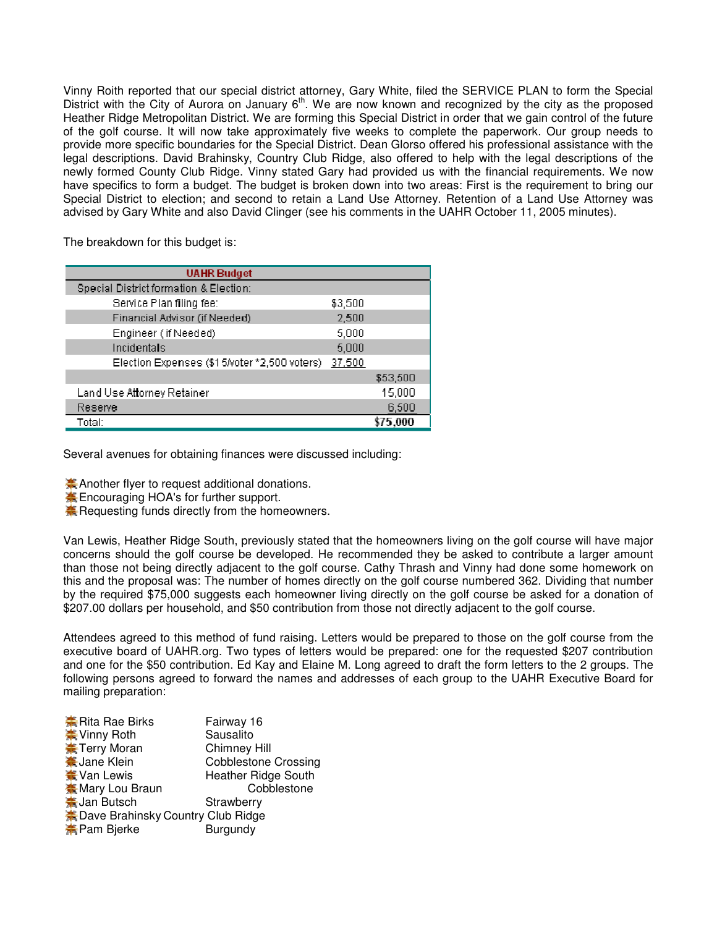Vinny Roith reported that our special district attorney, Gary White, filed the SERVICE PLAN to form the Special District with the City of Aurora on January 6<sup>th</sup>. We are now known and recognized by the city as the proposed Heather Ridge Metropolitan District. We are forming this Special District in order that we gain control of the future of the golf course. It will now take approximately five weeks to complete the paperwork. Our group needs to provide more specific boundaries for the Special District. Dean Glorso offered his professional assistance with the legal descriptions. David Brahinsky, Country Club Ridge, also offered to help with the legal descriptions of the newly formed County Club Ridge. Vinny stated Gary had provided us with the financial requirements. We now have specifics to form a budget. The budget is broken down into two areas: First is the requirement to bring our Special District to election; and second to retain a Land Use Attorney. Retention of a Land Use Attorney was advised by Gary White and also David Clinger (see his comments in the UAHR October 11, 2005 minutes).

The breakdown for this budget is:

| <b>UAHR</b> Budget                           |         |          |
|----------------------------------------------|---------|----------|
| Special District formation & Election:       |         |          |
| Service Plan filing fee:                     | \$3,500 |          |
| Financial Advisor (if Needed)                | 2,500   |          |
| Engineer (if Needed)                         | 5.000   |          |
| Incidentals                                  | 5,000   |          |
| Election Expenses (\$15/voter *2,500 voters) | 37,500  |          |
|                                              |         | \$53,500 |
| Land Use Attorney Retainer                   |         | 15,000   |
| Reserve                                      |         | 6,500    |
| Total:                                       |         | 5.000    |

Several avenues for obtaining finances were discussed including:

**A** Another flyer to request additional donations.

**A.** Encouraging HOA's for further support.

**A** Requesting funds directly from the homeowners.

Van Lewis, Heather Ridge South, previously stated that the homeowners living on the golf course will have major concerns should the golf course be developed. He recommended they be asked to contribute a larger amount than those not being directly adjacent to the golf course. Cathy Thrash and Vinny had done some homework on this and the proposal was: The number of homes directly on the golf course numbered 362. Dividing that number by the required \$75,000 suggests each homeowner living directly on the golf course be asked for a donation of \$207.00 dollars per household, and \$50 contribution from those not directly adjacent to the golf course.

Attendees agreed to this method of fund raising. Letters would be prepared to those on the golf course from the executive board of UAHR.org. Two types of letters would be prepared: one for the requested \$207 contribution and one for the \$50 contribution. Ed Kay and Elaine M. Long agreed to draft the form letters to the 2 groups. The following persons agreed to forward the names and addresses of each group to the UAHR Executive Board for mailing preparation:

| <b>K</b> Rita Rae Birks                    | Fairway 16                  |
|--------------------------------------------|-----------------------------|
| ₩ Vinny Roth                               | Sausalito                   |
| Ferry Moran                                | <b>Chimney Hill</b>         |
| <b>*</b> Jane Klein                        | <b>Cobblestone Crossing</b> |
| <b>★ Van Lewis</b>                         | <b>Heather Ridge South</b>  |
| <b>Mary Lou Braun</b>                      | Cobblestone                 |
| <b>美Jan Butsch</b>                         | Strawberry                  |
| <b>E</b> Dave Brahinsky Country Club Ridge |                             |
| <b>¥</b> Pam Bjerke                        | Burgundy                    |